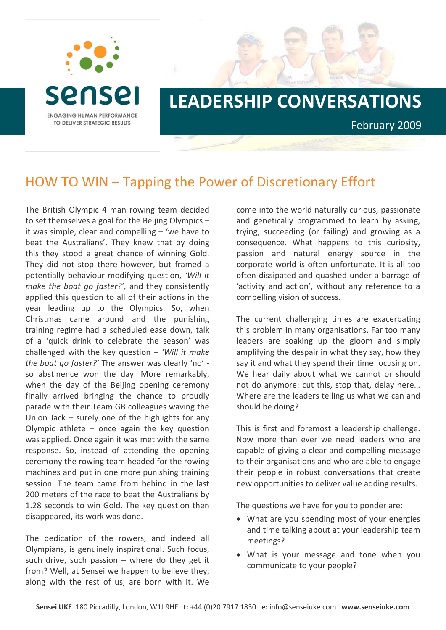

## **LEADERSHIP CONVERSATIONS**

February 2009

## HOW TO WIN – Tapping the Power of Discretionary Effort

The British Olympic 4 man rowing team decided to set themselves a goal for the Beijing Olympics – it was simple, clear and compelling – 'we have to beat the Australians'. They knew that by doing this they stood a great chance of winning Gold. They did not stop there however, but framed a potentially behaviour modifying question, *'Will it make the boat go faster?',* and they consistently applied this question to all of their actions in the year leading up to the Olympics. So, when Christmas came around and the punishing training regime had a scheduled ease down, talk of a 'quick drink to celebrate the season' was challenged with the key question – *'Will it make the boat go faster?'* The answer was clearly 'no' ‐ so abstinence won the day. More remarkably, when the day of the Beijing opening ceremony finally arrived bringing the chance to proudly parade with their Team GB colleagues waving the Union Jack – surely one of the highlights for any Olympic athlete  $-$  once again the key question was applied. Once again it was met with the same response. So, instead of attending the opening ceremony the rowing team headed for the rowing machines and put in one more punishing training session. The team came from behind in the last 200 meters of the race to beat the Australians by 1.28 seconds to win Gold. The key question then disappeared, its work was done.

The dedication of the rowers, and indeed all Olympians, is genuinely inspirational. Such focus, such drive, such passion  $-$  where do they get it from? Well, at Sensei we happen to believe they, along with the rest of us, are born with it. We

come into the world naturally curious, passionate and genetically programmed to learn by asking, trying, succeeding (or failing) and growing as a consequence. What happens to this curiosity, passion and natural energy source in the corporate world is often unfortunate. It is all too often dissipated and quashed under a barrage of 'activity and action', without any reference to a compelling vision of success.

The current challenging times are exacerbating this problem in many organisations. Far too many leaders are soaking up the gloom and simply amplifying the despair in what they say, how they say it and what they spend their time focusing on. We hear daily about what we cannot or should not do anymore: cut this, stop that, delay here… Where are the leaders telling us what we can and should be doing?

This is first and foremost a leadership challenge. Now more than ever we need leaders who are capable of giving a clear and compelling message to their organisations and who are able to engage their people in robust conversations that create new opportunities to deliver value adding results.

The questions we have for you to ponder are:

- What are you spending most of your energies and time talking about at your leadership team meetings?
- What is your message and tone when you communicate to your people?